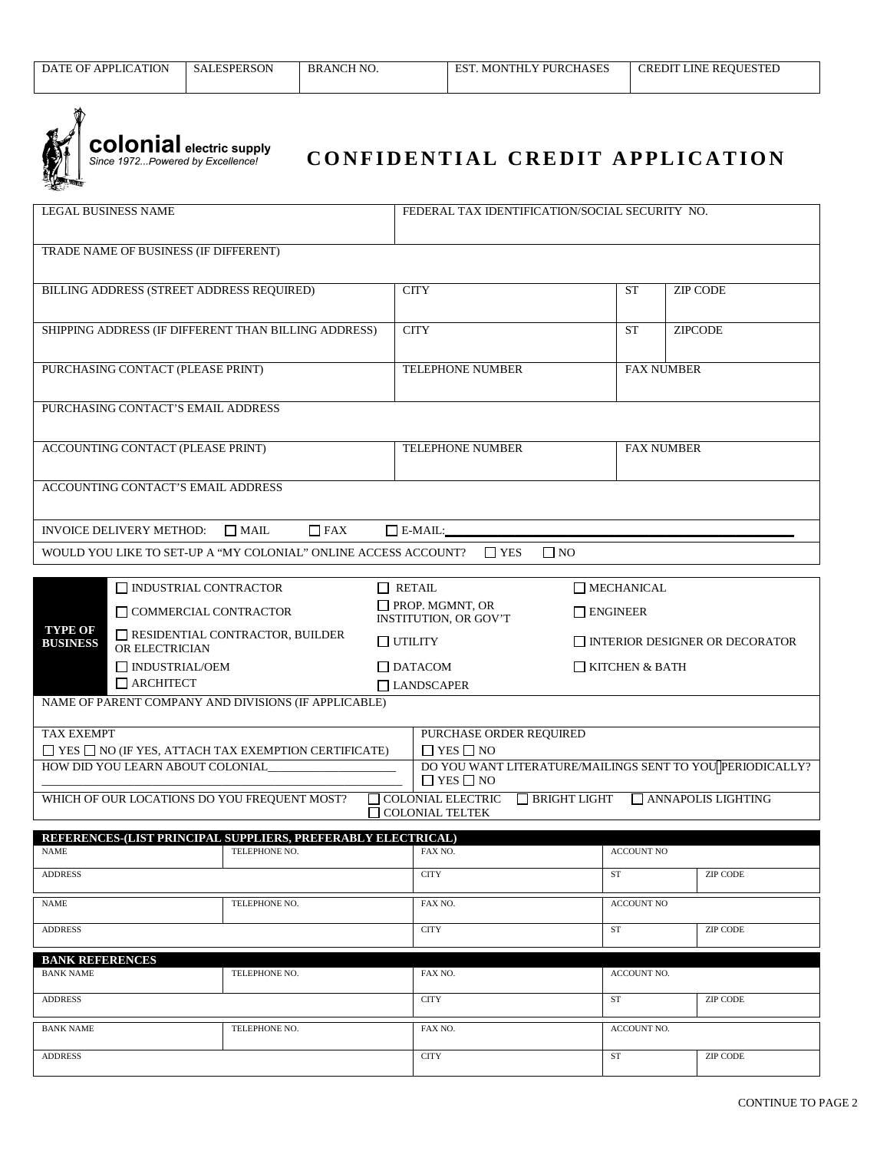

**colonial** electric supply Since 1972... Powered by Excellence!

## **CONFIDENTIAL CREDIT APPLICATION**

| <b>LEGAL BUSINESS NAME</b>                                                                                                                      |                                                                 | FEDERAL TAX IDENTIFICATION/SOCIAL SECURITY NO.                                    |                               |                                       |  |  |  |  |  |
|-------------------------------------------------------------------------------------------------------------------------------------------------|-----------------------------------------------------------------|-----------------------------------------------------------------------------------|-------------------------------|---------------------------------------|--|--|--|--|--|
| TRADE NAME OF BUSINESS (IF DIFFERENT)                                                                                                           |                                                                 |                                                                                   |                               |                                       |  |  |  |  |  |
| BILLING ADDRESS (STREET ADDRESS REQUIRED)                                                                                                       |                                                                 | <b>CITY</b>                                                                       | <b>ST</b>                     | <b>ZIP CODE</b>                       |  |  |  |  |  |
|                                                                                                                                                 | SHIPPING ADDRESS (IF DIFFERENT THAN BILLING ADDRESS)            | <b>CITY</b>                                                                       | <b>ST</b>                     | <b>ZIPCODE</b>                        |  |  |  |  |  |
| PURCHASING CONTACT (PLEASE PRINT)                                                                                                               |                                                                 | TELEPHONE NUMBER                                                                  |                               | <b>FAX NUMBER</b>                     |  |  |  |  |  |
| PURCHASING CONTACT'S EMAIL ADDRESS                                                                                                              |                                                                 |                                                                                   |                               |                                       |  |  |  |  |  |
| ACCOUNTING CONTACT (PLEASE PRINT)                                                                                                               |                                                                 | TELEPHONE NUMBER                                                                  |                               | <b>FAX NUMBER</b>                     |  |  |  |  |  |
| ACCOUNTING CONTACT'S EMAIL ADDRESS                                                                                                              |                                                                 |                                                                                   |                               |                                       |  |  |  |  |  |
| $\Box$ FAX<br><b>INVOICE DELIVERY METHOD:</b><br>$\Box$ MAIL<br>$\Box$ E-MAIL:                                                                  |                                                                 |                                                                                   |                               |                                       |  |  |  |  |  |
| WOULD YOU LIKE TO SET-UP A "MY COLONIAL" ONLINE ACCESS ACCOUNT?<br>$\Box$ NO<br>$\Box$ YES                                                      |                                                                 |                                                                                   |                               |                                       |  |  |  |  |  |
| $\Box$ INDUSTRIAL CONTRACTOR                                                                                                                    | $\Box$ MECHANICAL                                               |                                                                                   |                               |                                       |  |  |  |  |  |
| COMMERCIAL CONTRACTOR                                                                                                                           |                                                                 | $\Box$ PROP. MGMNT, OR<br><b>INSTITUTION, OR GOV'T</b>                            | $\Box$ ENGINEER               |                                       |  |  |  |  |  |
| <b>TYPE OF</b><br>RESIDENTIAL CONTRACTOR, BUILDER<br><b>BUSINESS</b><br>OR ELECTRICIAN                                                          |                                                                 | $\Box$ UTILITY                                                                    |                               | $\Box$ INTERIOR DESIGNER OR DECORATOR |  |  |  |  |  |
| $\Box$ INDUSTRIAL/OEM<br>$\Box$ ARCHITECT                                                                                                       |                                                                 | $\Box$ DATACOM<br>LANDSCAPER                                                      | $\Box$ KITCHEN & BATH         |                                       |  |  |  |  |  |
| NAME OF PARENT COMPANY AND DIVISIONS (IF APPLICABLE)                                                                                            |                                                                 |                                                                                   |                               |                                       |  |  |  |  |  |
| <b>TAX EXEMPT</b>                                                                                                                               |                                                                 | PURCHASE ORDER REQUIRED<br>$\Box$ YES $\Box$ NO                                   |                               |                                       |  |  |  |  |  |
| HOW DID YOU LEARN ABOUT COLONIAL                                                                                                                | $\Box$ YES $\Box$ NO (IF YES, ATTACH TAX EXEMPTION CERTIFICATE) | DO YOU WANT LITERATURE/MAILINGS SENT TO YOU PERIODICALLY?<br>$\Box$ YES $\Box$ NO |                               |                                       |  |  |  |  |  |
| $\Box$ COLONIAL ELECTRIC<br>WHICH OF OUR LOCATIONS DO YOU FREQUENT MOST?<br>$\Box$ BRIGHT LIGHT<br>ANNAPOLIS LIGHTING<br>$\Box$ COLONIAL TELTEK |                                                                 |                                                                                   |                               |                                       |  |  |  |  |  |
|                                                                                                                                                 | REFERENCES-(LIST PRINCIPAL SUPPLIERS, PREFERABLY ELECTRICAL)    |                                                                                   |                               |                                       |  |  |  |  |  |
| <b>NAME</b>                                                                                                                                     | TELEPHONE NO.                                                   | FAX NO.                                                                           |                               | <b>ACCOUNT NO</b>                     |  |  |  |  |  |
| <b>ADDRESS</b>                                                                                                                                  |                                                                 | <b>CITY</b>                                                                       | ST                            | ZIP CODE                              |  |  |  |  |  |
| <b>NAME</b>                                                                                                                                     | TELEPHONE NO.                                                   | FAX NO.                                                                           |                               | <b>ACCOUNT NO</b>                     |  |  |  |  |  |
| <b>ADDRESS</b>                                                                                                                                  |                                                                 | <b>CITY</b>                                                                       | <b>ST</b>                     | <b>ZIP CODE</b>                       |  |  |  |  |  |
| <b>BANK REFERENCES</b>                                                                                                                          |                                                                 |                                                                                   |                               |                                       |  |  |  |  |  |
| <b>BANK NAME</b><br><b>ADDRESS</b>                                                                                                              | TELEPHONE NO.                                                   | FAX NO.<br><b>CITY</b>                                                            | ACCOUNT NO.<br>ST<br>ZIP CODE |                                       |  |  |  |  |  |
|                                                                                                                                                 |                                                                 |                                                                                   | ACCOUNT NO.                   |                                       |  |  |  |  |  |
| <b>BANK NAME</b>                                                                                                                                | TELEPHONE NO.                                                   | FAX NO.                                                                           |                               |                                       |  |  |  |  |  |
| <b>ADDRESS</b>                                                                                                                                  |                                                                 | <b>CITY</b>                                                                       | ST                            | ZIP CODE                              |  |  |  |  |  |